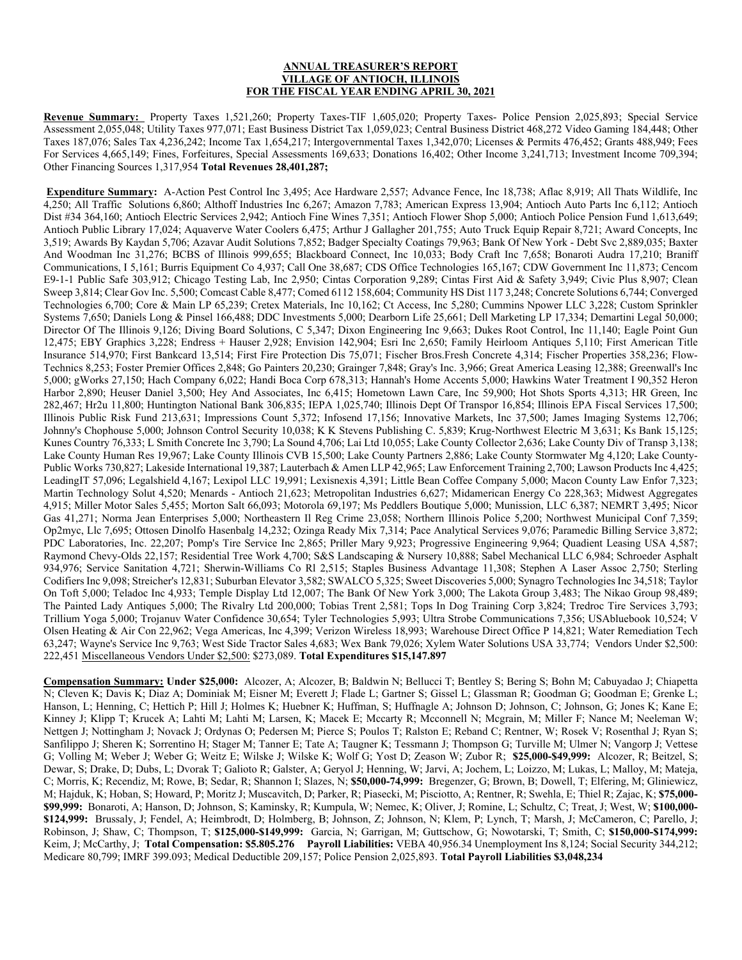## **ANNUAL TREASURER'S REPORT VILLAGE OF ANTIOCH, ILLINOIS FOR THE FISCAL YEAR ENDING APRIL 30, 2021**

**Revenue Summary:** Property Taxes 1,521,260; Property Taxes-TIF 1,605,020; Property Taxes- Police Pension 2,025,893; Special Service Assessment 2,055,048; Utility Taxes 977,071; East Business District Tax 1,059,023; Central Business District 468,272 Video Gaming 184,448; Other Taxes 187,076; Sales Tax 4,236,242; Income Tax 1,654,217; Intergovernmental Taxes 1,342,070; Licenses & Permits 476,452; Grants 488,949; Fees For Services 4,665,149; Fines, Forfeitures, Special Assessments 169,633; Donations 16,402; Other Income 3,241,713; Investment Income 709,394; Other Financing Sources 1,317,954 **Total Revenues 28,401,287;** 

**Expenditure Summary:** A-Action Pest Control Inc 3,495; Ace Hardware 2,557; Advance Fence, Inc 18,738; Aflac 8,919; All Thats Wildlife, Inc 4,250; All Traffic Solutions 6,860; Althoff Industries Inc 6,267; Amazon 7,783; American Express 13,904; Antioch Auto Parts Inc 6,112; Antioch Dist #34 364,160; Antioch Electric Services 2,942; Antioch Fine Wines 7,351; Antioch Flower Shop 5,000; Antioch Police Pension Fund 1,613,649; Antioch Public Library 17,024; Aquaverve Water Coolers 6,475; Arthur J Gallagher 201,755; Auto Truck Equip Repair 8,721; Award Concepts, Inc 3,519; Awards By Kaydan 5,706; Azavar Audit Solutions 7,852; Badger Specialty Coatings 79,963; Bank Of New York - Debt Svc 2,889,035; Baxter And Woodman Inc 31,276; BCBS of Illinois 999,655; Blackboard Connect, Inc 10,033; Body Craft Inc 7,658; Bonaroti Audra 17,210; Braniff Communications, I 5,161; Burris Equipment Co 4,937; Call One 38,687; CDS Office Technologies 165,167; CDW Government Inc 11,873; Cencom E9-1-1 Public Safe 303,912; Chicago Testing Lab, Inc 2,950; Cintas Corporation 9,289; Cintas First Aid & Safety 3,949; Civic Plus 8,907; Clean Sweep 3,814; Clear Gov Inc. 5,500; Comcast Cable 8,477; Comed 6112 158,604; Community HS Dist 117 3,248; Concrete Solutions 6,744; Converged Technologies 6,700; Core & Main LP 65,239; Cretex Materials, Inc 10,162; Ct Access, Inc 5,280; Cummins Npower LLC 3,228; Custom Sprinkler Systems 7,650; Daniels Long & Pinsel 166,488; DDC Investments 5,000; Dearborn Life 25,661; Dell Marketing LP 17,334; Demartini Legal 50,000; Director Of The Illinois 9,126; Diving Board Solutions, C 5,347; Dixon Engineering Inc 9,663; Dukes Root Control, Inc 11,140; Eagle Point Gun 12,475; EBY Graphics 3,228; Endress + Hauser 2,928; Envision 142,904; Esri Inc 2,650; Family Heirloom Antiques 5,110; First American Title Insurance 514,970; First Bankcard 13,514; First Fire Protection Dis 75,071; Fischer Bros.Fresh Concrete 4,314; Fischer Properties 358,236; Flow-Technics 8,253; Foster Premier Offices 2,848; Go Painters 20,230; Grainger 7,848; Gray's Inc. 3,966; Great America Leasing 12,388; Greenwall's Inc 5,000; gWorks 27,150; Hach Company 6,022; Handi Boca Corp 678,313; Hannah's Home Accents 5,000; Hawkins Water Treatment I 90,352 Heron Harbor 2,890; Heuser Daniel 3,500; Hey And Associates, Inc 6,415; Hometown Lawn Care, Inc 59,900; Hot Shots Sports 4,313; HR Green, Inc 282,467; Hr2u 11,800; Huntington National Bank 306,835; IEPA 1,025,740; Illinois Dept Of Transpor 16,854; Illinois EPA Fiscal Services 17,500; Illinois Public Risk Fund 213,631; Impressions Count 5,372; Infosend 17,156; Innovative Markets, Inc 37,500; James Imaging Systems 12,706; Johnny's Chophouse 5,000; Johnson Control Security 10,038; K K Stevens Publishing C. 5,839; Krug-Northwest Electric M 3,631; Ks Bank 15,125; Kunes Country 76,333; L Smith Concrete Inc 3,790; La Sound 4,706; Lai Ltd 10,055; Lake County Collector 2,636; Lake County Div of Transp 3,138; Lake County Human Res 19,967; Lake County Illinois CVB 15,500; Lake County Partners 2,886; Lake County Stormwater Mg 4,120; Lake County-Public Works 730,827; Lakeside International 19,387; Lauterbach & Amen LLP 42,965; Law Enforcement Training 2,700; Lawson Products Inc 4,425; LeadingIT 57,096; Legalshield 4,167; Lexipol LLC 19,991; Lexisnexis 4,391; Little Bean Coffee Company 5,000; Macon County Law Enfor 7,323; Martin Technology Solut 4,520; Menards - Antioch 21,623; Metropolitan Industries 6,627; Midamerican Energy Co 228,363; Midwest Aggregates 4,915; Miller Motor Sales 5,455; Morton Salt 66,093; Motorola 69,197; Ms Peddlers Boutique 5,000; Munission, LLC 6,387; NEMRT 3,495; Nicor Gas 41,271; Norma Jean Enterprises 5,000; Northeastern Il Reg Crime 23,058; Northern Illinois Police 5,200; Northwest Municipal Conf 7,359; Op2myc, Llc 7,695; Ottosen Dinolfo Hasenbalg 14,232; Ozinga Ready Mix 7,314; Pace Analytical Services 9,076; Paramedic Billing Service 3,872; PDC Laboratories, Inc. 22,207; Pomp's Tire Service Inc 2,865; Priller Mary 9,923; Progressive Engineering 9,964; Quadient Leasing USA 4,587; Raymond Chevy-Olds 22,157; Residential Tree Work 4,700; S&S Landscaping & Nursery 10,888; Sabel Mechanical LLC 6,984; Schroeder Asphalt 934,976; Service Sanitation 4,721; Sherwin-Williams Co Rl 2,515; Staples Business Advantage 11,308; Stephen A Laser Assoc 2,750; Sterling Codifiers Inc 9,098; Streicher's 12,831; Suburban Elevator 3,582; SWALCO 5,325; Sweet Discoveries 5,000; Synagro Technologies Inc 34,518; Taylor On Toft 5,000; Teladoc Inc 4,933; Temple Display Ltd 12,007; The Bank Of New York 3,000; The Lakota Group 3,483; The Nikao Group 98,489; The Painted Lady Antiques 5,000; The Rivalry Ltd 200,000; Tobias Trent 2,581; Tops In Dog Training Corp 3,824; Tredroc Tire Services 3,793; Trillium Yoga 5,000; Trojanuv Water Confidence 30,654; Tyler Technologies 5,993; Ultra Strobe Communications 7,356; USAbluebook 10,524; V Olsen Heating & Air Con 22,962; Vega Americas, Inc 4,399; Verizon Wireless 18,993; Warehouse Direct Office P 14,821; Water Remediation Tech 63,247; Wayne's Service Inc 9,763; West Side Tractor Sales 4,683; Wex Bank 79,026; Xylem Water Solutions USA 33,774; Vendors Under \$2,500: 222,451 Miscellaneous Vendors Under \$2,500: \$273,089. **Total Expenditures \$15,147.897** 

**Compensation Summary: Under \$25,000:** Alcozer, A; Alcozer, B; Baldwin N; Bellucci T; Bentley S; Bering S; Bohn M; Cabuyadao J; Chiapetta N; Cleven K; Davis K; Diaz A; Dominiak M; Eisner M; Everett J; Flade L; Gartner S; Gissel L; Glassman R; Goodman G; Goodman E; Grenke L; Hanson, L; Henning, C; Hettich P; Hill J; Holmes K; Huebner K; Huffman, S; Huffnagle A; Johnson D; Johnson, C; Johnson, G; Jones K; Kane E; Kinney J; Klipp T; Krucek A; Lahti M; Lahti M; Larsen, K; Macek E; Mccarty R; Mcconnell N; Mcgrain, M; Miller F; Nance M; Neeleman W; Nettgen J; Nottingham J; Novack J; Ordynas O; Pedersen M; Pierce S; Poulos T; Ralston E; Reband C; Rentner, W; Rosek V; Rosenthal J; Ryan S; Sanfilippo J; Sheren K; Sorrentino H; Stager M; Tanner E; Tate A; Taugner K; Tessmann J; Thompson G; Turville M; Ulmer N; Vangorp J; Vettese G; Volling M; Weber J; Weber G; Weitz E; Wilske J; Wilske K; Wolf G; Yost D; Zeason W; Zubor R; **\$25,000-\$49,999:** Alcozer, R; Beitzel, S; Dewar, S; Drake, D; Dubs, L; Dvorak T; Galioto R; Galster, A; Geryol J; Henning, W; Jarvi, A; Jochem, L; Loizzo, M; Lukas, L; Malloy, M; Mateja, C; Morris, K; Recendiz, M; Rowe, B; Sedar, R; Shannon I; Slazes, N; **\$50,000-74,999:** Bregenzer, G; Brown, B; Dowell, T; Elfering, M; Gliniewicz, M; Hajduk, K; Hoban, S; Howard, P; Moritz J; Muscavitch, D; Parker, R; Piasecki, M; Pisciotto, A; Rentner, R; Swehla, E; Thiel R; Zajac, K; **\$75,000- \$99,999:** Bonaroti, A; Hanson, D; Johnson, S; Kaminsky, R; Kumpula, W; Nemec, K; Oliver, J; Romine, L; Schultz, C; Treat, J; West, W; **\$100,000- \$124,999:** Brussaly, J; Fendel, A; Heimbrodt, D; Holmberg, B; Johnson, Z; Johnson, N; Klem, P; Lynch, T; Marsh, J; McCameron, C; Parello, J; Robinson, J; Shaw, C; Thompson, T; **\$125,000-\$149,999:** Garcia, N; Garrigan, M; Guttschow, G; Nowotarski, T; Smith, C; **\$150,000-\$174,999:** Keim, J; McCarthy, J; **Total Compensation: \$5.805.276 Payroll Liabilities:** VEBA 40,956.34 Unemployment Ins 8,124; Social Security 344,212; Medicare 80,799; IMRF 399.093; Medical Deductible 209,157; Police Pension 2,025,893. **Total Payroll Liabilities \$3,048,234**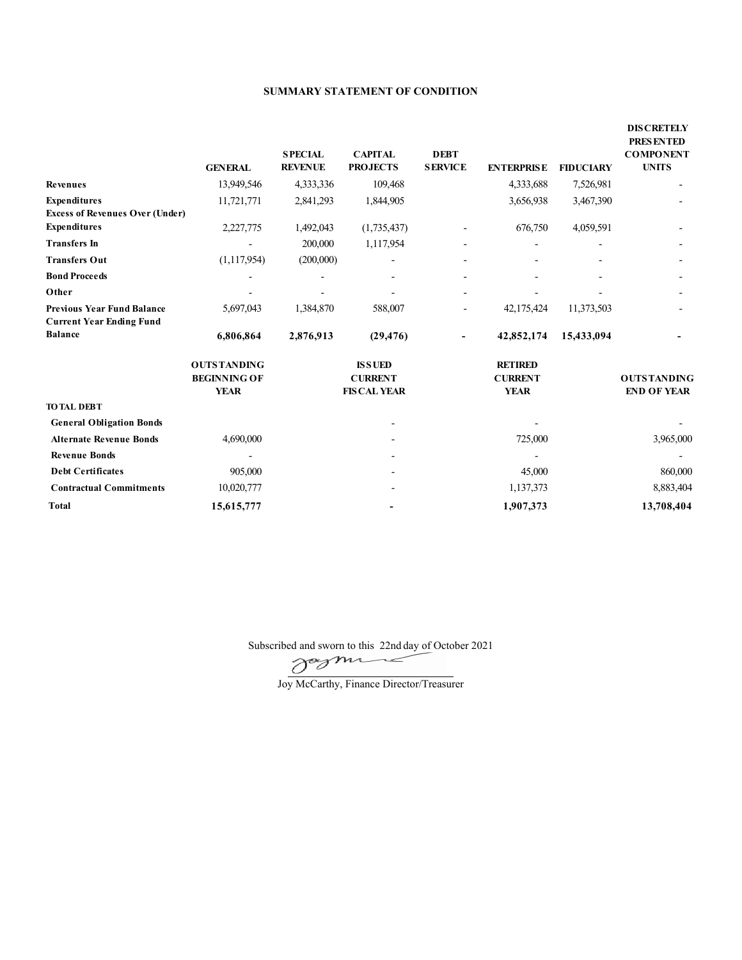## **SUMMARY STATEMENT OF CONDITION**

|                                                                      | <b>GENERAL</b>                                           | <b>SPECIAL</b><br><b>REVENUE</b> | <b>CAPITAL</b><br><b>PROJECTS</b>                      | <b>DEBT</b><br><b>SERVICE</b> | <b>ENTERPRISE</b>                               | <b>FIDUCIARY</b> | <b>DIS CRETELY</b><br>PRESENTED<br><b>COMPONENT</b><br><b>UNITS</b> |
|----------------------------------------------------------------------|----------------------------------------------------------|----------------------------------|--------------------------------------------------------|-------------------------------|-------------------------------------------------|------------------|---------------------------------------------------------------------|
| <b>Revenues</b>                                                      | 13,949,546                                               | 4,333,336                        | 109,468                                                |                               | 4,333,688                                       | 7,526,981        |                                                                     |
| <b>Expenditures</b>                                                  | 11,721,771                                               | 2,841,293                        | 1,844,905                                              |                               | 3,656,938                                       | 3,467,390        |                                                                     |
| <b>Excess of Revenues Over (Under)</b>                               |                                                          |                                  |                                                        |                               |                                                 |                  |                                                                     |
| <b>Expenditures</b>                                                  | 2,227,775                                                | 1,492,043                        | (1,735,437)                                            |                               | 676,750                                         | 4,059,591        |                                                                     |
| <b>Transfers In</b>                                                  |                                                          | 200,000                          | 1,117,954                                              |                               |                                                 |                  |                                                                     |
| <b>Transfers Out</b>                                                 | (1, 117, 954)                                            | (200,000)                        |                                                        |                               |                                                 |                  |                                                                     |
| <b>Bond Proceeds</b>                                                 |                                                          |                                  |                                                        | $\overline{\phantom{a}}$      |                                                 |                  |                                                                     |
| Other                                                                |                                                          |                                  |                                                        | $\overline{\phantom{a}}$      |                                                 |                  |                                                                     |
| <b>Previous Year Fund Balance</b><br><b>Current Year Ending Fund</b> | 5,697,043                                                | 1,384,870                        | 588,007                                                | $\overline{\phantom{a}}$      | 42,175,424                                      | 11,373,503       |                                                                     |
| <b>Balance</b>                                                       | 6,806,864                                                | 2,876,913                        | (29, 476)                                              | $\overline{\phantom{a}}$      | 42,852,174                                      | 15,433,094       |                                                                     |
|                                                                      | <b>OUTSTANDING</b><br><b>BEGINNING OF</b><br><b>YEAR</b> |                                  | <b>ISSUED</b><br><b>CURRENT</b><br><b>FIS CAL YEAR</b> |                               | <b>RETIRED</b><br><b>CURRENT</b><br><b>YEAR</b> |                  | <b>OUTSTANDING</b><br><b>END OF YEAR</b>                            |
| <b>TO TAL DEBT</b>                                                   |                                                          |                                  |                                                        |                               |                                                 |                  |                                                                     |
| <b>General Obligation Bonds</b>                                      |                                                          |                                  |                                                        |                               |                                                 |                  |                                                                     |
| <b>Alternate Revenue Bonds</b>                                       | 4,690,000                                                |                                  |                                                        |                               | 725,000                                         |                  | 3,965,000                                                           |
| <b>Revenue Bonds</b>                                                 |                                                          |                                  |                                                        |                               |                                                 |                  |                                                                     |
| <b>Debt Certificates</b>                                             | 905,000                                                  |                                  |                                                        |                               | 45,000                                          |                  | 860,000                                                             |
| <b>Contractual Commitments</b>                                       | 10,020,777                                               |                                  |                                                        |                               | 1,137,373                                       |                  | 8,883,404                                                           |
| <b>Total</b>                                                         | 15,615,777                                               |                                  |                                                        |                               | 1,907,373                                       |                  | 13,708,404                                                          |

Subscribed and sworn to this 22nd day of October 2021

Joy McCarthy, Finance Director/Treasurer